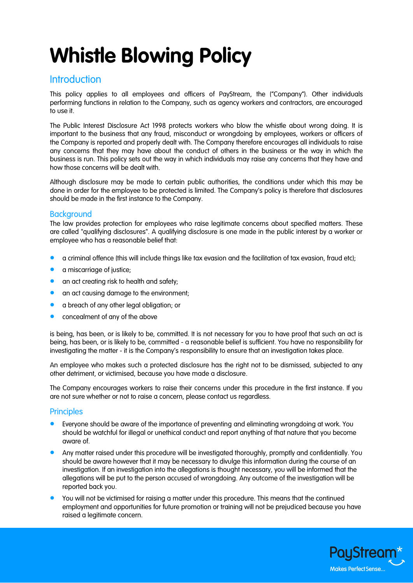# **Whistle Blowing Policy**

## **Introduction**

This policy applies to all employees and officers of PayStream, the ("Company"). Other individuals performing functions in relation to the Company, such as agency workers and contractors, are encouraged to use it.

The Public Interest Disclosure Act 1998 protects workers who blow the whistle about wrong doing. It is important to the business that any fraud, misconduct or wrongdoing by employees, workers or officers of the Company is reported and properly dealt with. The Company therefore encourages all individuals to raise any concerns that they may have about the conduct of others in the business or the way in which the business is run. This policy sets out the way in which individuals may raise any concerns that they have and how those concerns will be dealt with.

Although disclosure may be made to certain public authorities, the conditions under which this may be done in order for the employee to be protected is limited. The Company's policy is therefore that disclosures should be made in the first instance to the Company.

### **Background**

The law provides protection for employees who raise legitimate concerns about specified matters. These are called "qualifying disclosures". A qualifying disclosure is one made in the public interest by a worker or employee who has a reasonable belief that:

- a criminal offence (this will include things like tax evasion and the facilitation of tax evasion, fraud etc);
- a miscarriage of justice;
- an act creating risk to health and safety;
- **•** an act causing damage to the environment;
- a breach of any other legal obligation; or
- concealment of any of the above

is being, has been, or is likely to be, committed. It is not necessary for you to have proof that such an act is being, has been, or is likely to be, committed - a reasonable belief is sufficient. You have no responsibility for investigating the matter - it is the Company's responsibility to ensure that an investigation takes place.

An employee who makes such a protected disclosure has the right not to be dismissed, subjected to any other detriment, or victimised, because you have made a disclosure.

The Company encourages workers to raise their concerns under this procedure in the first instance. If you are not sure whether or not to raise a concern, please contact us regardless.

#### **Principles**

- Everyone should be aware of the importance of preventing and eliminating wrongdoing at work. You should be watchful for illegal or unethical conduct and report anything of that nature that you become aware of.
- Any matter raised under this procedure will be investigated thoroughly, promptly and confidentially. You should be aware however that it may be necessary to divulge this information during the course of an investigation. If an investigation into the allegations is thought necessary, you will be informed that the allegations will be put to the person accused of wrongdoing. Any outcome of the investigation will be reported back you.
- You will not be victimised for raising a matter under this procedure. This means that the continued employment and opportunities for future promotion or training will not be prejudiced because you have raised a legitimate concern.